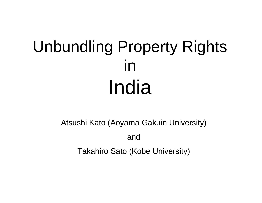# Unbundling Property Rights in India

Atsushi Kato (Aoyama Gakuin University) and Takahiro Sato (Kobe University)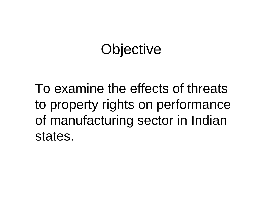# **Objective**

To examine the effects of threats to property rights on performance of manufacturing sector in Indian states.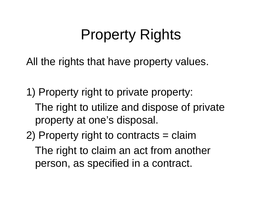# Property Rights

All the rights that have property values.

1) Property right to private property:

The right to utilize and dispose of private property at one's disposal.

2) Property right to contracts = claim The right to claim an act from another person, as specified in a contract.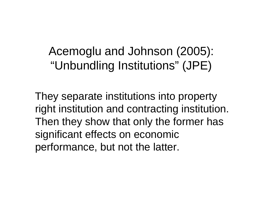#### Acemoglu and Johnson (2005): "Unbundling Institutions" (JPE)

They separate institutions into property right institution and contracting institution. Then they show that only the former has significant effects on economic performance, but not the latter.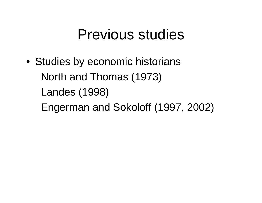#### Previous studies

• Studies by economic historians North and Thomas (1973) Landes (1998) Engerman and Sokoloff (1997, 2002)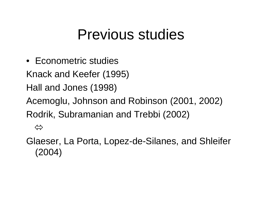### Previous studies

•Econometric studies

Knack and Keefer (1995)

Hall and Jones (1998)

 $\Leftrightarrow$ 

Acemoglu, Johnson and Robinson (2001, 2002) Rodrik, Subramanian and Trebbi (2002)

Glaeser, La Porta, Lopez-de-Silanes, and Shleifer (2004)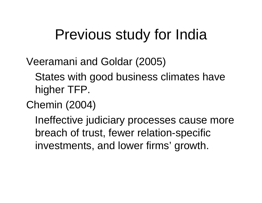## Previous study for India

Veeramani and Goldar (2005)

States with good business climates have higher TFP.

Chemin (2004)

Ineffective judiciary processes cause more breach of trust, fewer relation-specific investments, and lower firms' growth.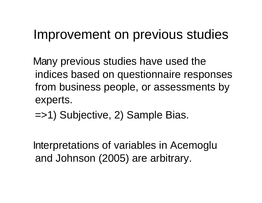#### Improvement on previous studies

M any previous studies have used the indices based on questionnaire responses from business people, or assessments by experts.

=>1) Subjective, 2) Sample Bias.

Interpretations of variables in Acemoglu and Johnson (2005) are arbitrary.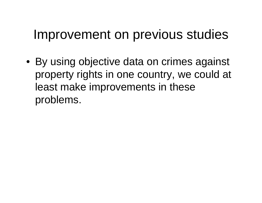#### Improvement on previous studies

• By using objective data on crimes against property rights in one country, we could at least make improvements in these problems.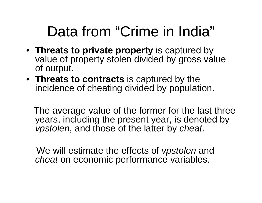# Data from "Crime in India"

- **Threats to private property** is captured by value of property stolen divided by gross value of output.
- **Threats to contracts** is captured by the incidence of cheating divided by population.

The average value of the former for the last three years, including the present year, is denoted by *vpstolen*, and those of the latter by *cheat*.

We will estimate the effects of *vpstolen* and *cheat* on economic performance variables.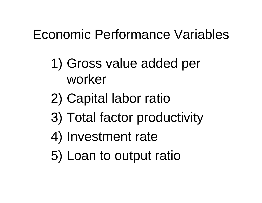#### Economic Performance Variables

- 1) Gross value added per worker
- 2) Capital labor ratio
- 3) Total factor productivity
- 4) Investment rate
- 5) Loan to output ratio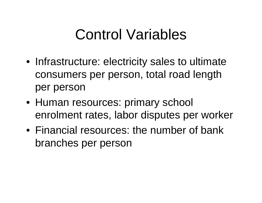# Control Variables

- Infrastructure: electricity sales to ultimate consumers per person, total road length per person
- Human resources: primary school enrolment rates, labor disputes per worker
- Financial resources: the number of bank branches per person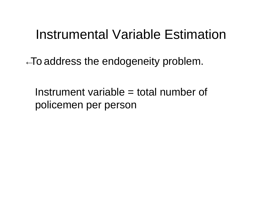#### Instrumental Variable Estimation

 $\leftarrow$ To address the endogeneity problem.

Instrument variable = total number of policemen per person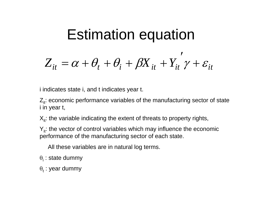$$
Estimation equation
$$
  

$$
Z_{it} = \alpha + \theta_t + \theta_i + \beta X_{it} + Y_{it} \gamma + \varepsilon_{it}
$$

i indicates state i, and t indicates year t.

 $Z_{it}$ : economic performance variables of the manufacturing sector of state i in year t,

 $X_{i}$ : the variable indicating the extent of threats to property rights,

 $Y_{it}$ : the vector of control variables which may influence the economic performance of the manufacturing sector of each state.

All these variables are in natural log terms.

- $\theta_\mathsf{i}$  : state dummy
- $\theta_{\rm t}$  : year dummy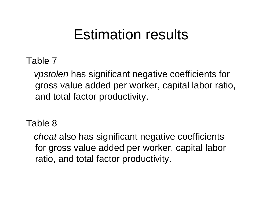### Estimation results

Table 7

*vpstolen* has significant negative coefficients for gross value added per worker, capital labor ratio, and total factor productivity.

Table 8

*cheat* also has significant negative coefficients for gross value added per worker, capital labor ratio, and total factor productivity.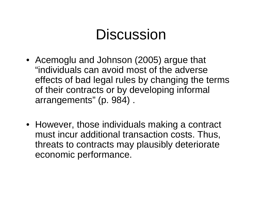## Discussion

- Acemoglu and Johnson (2005) argue that "individuals can avoid most of the adverse effects of bad legal rules by changing the terms of their contracts or by developing informal arrangements" (p. 984) .
- However, those individuals making a contract must incur additional transaction costs. Thus, threats to contracts may plausibly deteriorate economic performance.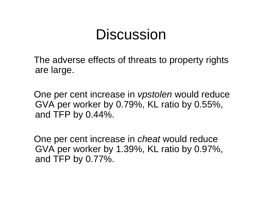### Discussion

The adverse effects of threats to property rights are large.

One per cent increase in *vpstolen* would reduce GVA per worker by 0.79%, KL ratio by 0.55%, and TFP by 0.44%.

One per cent increase in *cheat* would reduce GVA per worker by 1.39%, KL ratio by 0.97%, and TFP by 0.77%.